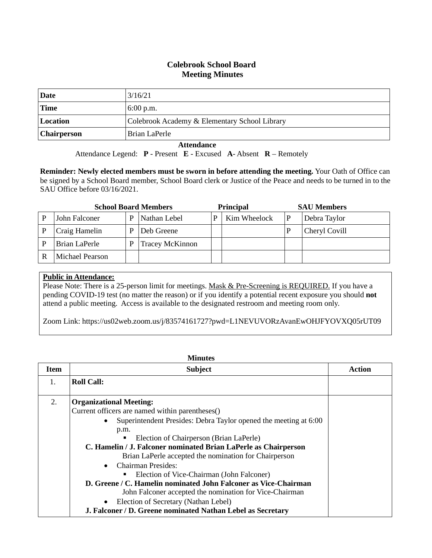### **Colebrook School Board Meeting Minutes**

| Date               | 3/16/21                                       |  |  |
|--------------------|-----------------------------------------------|--|--|
| <b>Time</b>        | $6:00$ p.m.                                   |  |  |
| Location           | Colebrook Academy & Elementary School Library |  |  |
| <b>Chairperson</b> | Brian LaPerle                                 |  |  |

 **Attendance**

Attendance Legend: **P** - Present **E** - Excused **A**- Absent **R** – Remotely

**Reminder: Newly elected members must be sworn in before attending the meeting.** Your Oath of Office can be signed by a School Board member, School Board clerk or Justice of the Peace and needs to be turned in to the SAU Office before 03/16/2021.

| <b>School Board Members</b> |                 | <b>Principal</b> |                        | <b>SAU Members</b> |              |  |               |
|-----------------------------|-----------------|------------------|------------------------|--------------------|--------------|--|---------------|
| P                           | John Falconer   |                  | Nathan Lebel           |                    | Kim Wheelock |  | Debra Taylor  |
|                             | Craig Hamelin   | P                | Deb Greene             |                    |              |  | Cheryl Covill |
| P                           | Brian LaPerle   | P                | <b>Tracey McKinnon</b> |                    |              |  |               |
|                             | Michael Pearson |                  |                        |                    |              |  |               |

#### **Public in Attendance:**

Please Note: There is a 25-person limit for meetings. Mask & Pre-Screening is REQUIRED. If you have a pending COVID-19 test (no matter the reason) or if you identify a potential recent exposure you should **not** attend a public meeting. Access is available to the designated restroom and meeting room only.

Zoom Link: https://us02web.zoom.us/j/83574161727?pwd=L1NEVUVORzAvanEwOHJFYOVXQ05rUT09

| <b>Minutes</b> |                                                                               |               |  |  |
|----------------|-------------------------------------------------------------------------------|---------------|--|--|
| <b>Item</b>    | <b>Subject</b>                                                                | <b>Action</b> |  |  |
| 1.             | <b>Roll Call:</b>                                                             |               |  |  |
| 2.             | <b>Organizational Meeting:</b>                                                |               |  |  |
|                | Current officers are named within parentheses()                               |               |  |  |
|                | Superintendent Presides: Debra Taylor opened the meeting at 6:00<br>$\bullet$ |               |  |  |
|                | p.m.                                                                          |               |  |  |
|                | Election of Chairperson (Brian LaPerle)<br>п                                  |               |  |  |
|                | C. Hamelin / J. Falconer nominated Brian LaPerle as Chairperson               |               |  |  |
|                | Brian LaPerle accepted the nomination for Chairperson                         |               |  |  |
|                | <b>Chairman Presides:</b>                                                     |               |  |  |
|                | Election of Vice-Chairman (John Falconer)                                     |               |  |  |
|                | D. Greene / C. Hamelin nominated John Falconer as Vice-Chairman               |               |  |  |
|                | John Falconer accepted the nomination for Vice-Chairman                       |               |  |  |
|                | Election of Secretary (Nathan Lebel)                                          |               |  |  |
|                | J. Falconer / D. Greene nominated Nathan Lebel as Secretary                   |               |  |  |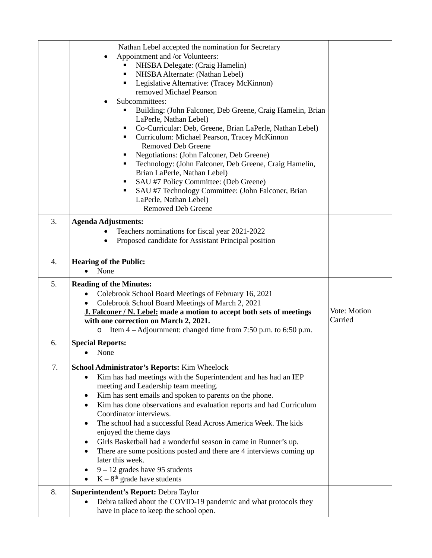|    | Nathan Lebel accepted the nomination for Secretary<br>Appointment and /or Volunteers:<br>NHSBA Delegate: (Craig Hamelin)<br>NHSBA Alternate: (Nathan Lebel)<br>٠<br>Legislative Alternative: (Tracey McKinnon)<br>٠<br>removed Michael Pearson<br>Subcommittees:<br>Building: (John Falconer, Deb Greene, Craig Hamelin, Brian<br>٠<br>LaPerle, Nathan Lebel)<br>Co-Curricular: Deb, Greene, Brian LaPerle, Nathan Lebel)<br>٠<br>Curriculum: Michael Pearson, Tracey McKinnon<br>٠<br><b>Removed Deb Greene</b><br>Negotiations: (John Falconer, Deb Greene)<br>п<br>Technology: (John Falconer, Deb Greene, Craig Hamelin,<br>٠<br>Brian LaPerle, Nathan Lebel)<br>SAU #7 Policy Committee: (Deb Greene)<br>٠<br>SAU #7 Technology Committee: (John Falconer, Brian<br>٠<br>LaPerle, Nathan Lebel)<br><b>Removed Deb Greene</b> |  |  |  |  |
|----|-----------------------------------------------------------------------------------------------------------------------------------------------------------------------------------------------------------------------------------------------------------------------------------------------------------------------------------------------------------------------------------------------------------------------------------------------------------------------------------------------------------------------------------------------------------------------------------------------------------------------------------------------------------------------------------------------------------------------------------------------------------------------------------------------------------------------------------|--|--|--|--|
| 3. | <b>Agenda Adjustments:</b><br>Teachers nominations for fiscal year 2021-2022<br>Proposed candidate for Assistant Principal position                                                                                                                                                                                                                                                                                                                                                                                                                                                                                                                                                                                                                                                                                               |  |  |  |  |
| 4. | <b>Hearing of the Public:</b><br>None                                                                                                                                                                                                                                                                                                                                                                                                                                                                                                                                                                                                                                                                                                                                                                                             |  |  |  |  |
| 5. | <b>Reading of the Minutes:</b><br>Colebrook School Board Meetings of February 16, 2021<br>Colebrook School Board Meetings of March 2, 2021<br>Vote: Motion<br>J. Falconer / N. Lebel: made a motion to accept both sets of meetings<br>Carried<br>with one correction on March 2, 2021.<br>Item $4 -$ Adjournment: changed time from 7:50 p.m. to 6:50 p.m.<br>O                                                                                                                                                                                                                                                                                                                                                                                                                                                                  |  |  |  |  |
| 6. | <b>Special Reports:</b><br>None<br>$\bullet$                                                                                                                                                                                                                                                                                                                                                                                                                                                                                                                                                                                                                                                                                                                                                                                      |  |  |  |  |
| 7. | School Administrator's Reports: Kim Wheelock<br>Kim has had meetings with the Superintendent and has had an IEP<br>٠<br>meeting and Leadership team meeting.<br>Kim has sent emails and spoken to parents on the phone.<br>٠<br>Kim has done observations and evaluation reports and had Curriculum<br>٠<br>Coordinator interviews.<br>The school had a successful Read Across America Week. The kids<br>enjoyed the theme days<br>Girls Basketball had a wonderful season in came in Runner's up.<br>٠<br>There are some positions posted and there are 4 interviews coming up<br>later this week.<br>$9 - 12$ grades have 95 students<br>$K - 8th$ grade have students                                                                                                                                                          |  |  |  |  |
| 8. | Superintendent's Report: Debra Taylor<br>Debra talked about the COVID-19 pandemic and what protocols they<br>have in place to keep the school open.                                                                                                                                                                                                                                                                                                                                                                                                                                                                                                                                                                                                                                                                               |  |  |  |  |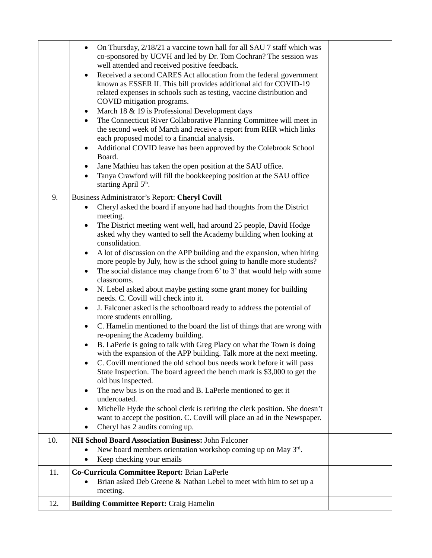|     | On Thursday, 2/18/21 a vaccine town hall for all SAU 7 staff which was<br>co-sponsored by UCVH and led by Dr. Tom Cochran? The session was<br>well attended and received positive feedback.<br>Received a second CARES Act allocation from the federal government<br>٠<br>known as ESSER II. This bill provides additional aid for COVID-19<br>related expenses in schools such as testing, vaccine distribution and<br>COVID mitigation programs.<br>March 18 & 19 is Professional Development days<br>$\bullet$<br>The Connecticut River Collaborative Planning Committee will meet in<br>the second week of March and receive a report from RHR which links<br>each proposed model to a financial analysis.<br>Additional COVID leave has been approved by the Colebrook School<br>٠<br>Board.<br>Jane Mathieu has taken the open position at the SAU office.<br>Tanya Crawford will fill the bookkeeping position at the SAU office<br>starting April 5 <sup>th</sup> . |  |
|-----|-----------------------------------------------------------------------------------------------------------------------------------------------------------------------------------------------------------------------------------------------------------------------------------------------------------------------------------------------------------------------------------------------------------------------------------------------------------------------------------------------------------------------------------------------------------------------------------------------------------------------------------------------------------------------------------------------------------------------------------------------------------------------------------------------------------------------------------------------------------------------------------------------------------------------------------------------------------------------------|--|
| 9.  | Business Administrator's Report: Cheryl Covill                                                                                                                                                                                                                                                                                                                                                                                                                                                                                                                                                                                                                                                                                                                                                                                                                                                                                                                              |  |
|     | Cheryl asked the board if anyone had had thoughts from the District<br>$\bullet$                                                                                                                                                                                                                                                                                                                                                                                                                                                                                                                                                                                                                                                                                                                                                                                                                                                                                            |  |
|     | meeting.<br>The District meeting went well, had around 25 people, David Hodge<br>$\bullet$                                                                                                                                                                                                                                                                                                                                                                                                                                                                                                                                                                                                                                                                                                                                                                                                                                                                                  |  |
|     | asked why they wanted to sell the Academy building when looking at<br>consolidation.                                                                                                                                                                                                                                                                                                                                                                                                                                                                                                                                                                                                                                                                                                                                                                                                                                                                                        |  |
|     | A lot of discussion on the APP building and the expansion, when hiring<br>٠                                                                                                                                                                                                                                                                                                                                                                                                                                                                                                                                                                                                                                                                                                                                                                                                                                                                                                 |  |
|     | more people by July, how is the school going to handle more students?                                                                                                                                                                                                                                                                                                                                                                                                                                                                                                                                                                                                                                                                                                                                                                                                                                                                                                       |  |
|     | The social distance may change from 6' to 3' that would help with some<br>$\bullet$<br>classrooms.                                                                                                                                                                                                                                                                                                                                                                                                                                                                                                                                                                                                                                                                                                                                                                                                                                                                          |  |
|     | N. Lebel asked about maybe getting some grant money for building<br>٠                                                                                                                                                                                                                                                                                                                                                                                                                                                                                                                                                                                                                                                                                                                                                                                                                                                                                                       |  |
|     | needs. C. Covill will check into it.                                                                                                                                                                                                                                                                                                                                                                                                                                                                                                                                                                                                                                                                                                                                                                                                                                                                                                                                        |  |
|     | J. Falconer asked is the schoolboard ready to address the potential of<br>٠                                                                                                                                                                                                                                                                                                                                                                                                                                                                                                                                                                                                                                                                                                                                                                                                                                                                                                 |  |
|     | more students enrolling.<br>C. Hamelin mentioned to the board the list of things that are wrong with<br>$\bullet$                                                                                                                                                                                                                                                                                                                                                                                                                                                                                                                                                                                                                                                                                                                                                                                                                                                           |  |
|     | re-opening the Academy building.                                                                                                                                                                                                                                                                                                                                                                                                                                                                                                                                                                                                                                                                                                                                                                                                                                                                                                                                            |  |
|     | B. LaPerle is going to talk with Greg Placy on what the Town is doing<br>with the expansion of the APP building. Talk more at the next meeting.                                                                                                                                                                                                                                                                                                                                                                                                                                                                                                                                                                                                                                                                                                                                                                                                                             |  |
|     | C. Covill mentioned the old school bus needs work before it will pass<br>$\bullet$                                                                                                                                                                                                                                                                                                                                                                                                                                                                                                                                                                                                                                                                                                                                                                                                                                                                                          |  |
|     | State Inspection. The board agreed the bench mark is \$3,000 to get the                                                                                                                                                                                                                                                                                                                                                                                                                                                                                                                                                                                                                                                                                                                                                                                                                                                                                                     |  |
|     | old bus inspected.<br>The new bus is on the road and B. LaPerle mentioned to get it                                                                                                                                                                                                                                                                                                                                                                                                                                                                                                                                                                                                                                                                                                                                                                                                                                                                                         |  |
|     | undercoated.                                                                                                                                                                                                                                                                                                                                                                                                                                                                                                                                                                                                                                                                                                                                                                                                                                                                                                                                                                |  |
|     | Michelle Hyde the school clerk is retiring the clerk position. She doesn't<br>٠<br>want to accept the position. C. Covill will place an ad in the Newspaper.                                                                                                                                                                                                                                                                                                                                                                                                                                                                                                                                                                                                                                                                                                                                                                                                                |  |
|     | Cheryl has 2 audits coming up.<br>٠                                                                                                                                                                                                                                                                                                                                                                                                                                                                                                                                                                                                                                                                                                                                                                                                                                                                                                                                         |  |
| 10. | NH School Board Association Business: John Falconer                                                                                                                                                                                                                                                                                                                                                                                                                                                                                                                                                                                                                                                                                                                                                                                                                                                                                                                         |  |
|     | New board members orientation workshop coming up on May 3 <sup>rd</sup> .                                                                                                                                                                                                                                                                                                                                                                                                                                                                                                                                                                                                                                                                                                                                                                                                                                                                                                   |  |
|     | Keep checking your emails<br>$\bullet$                                                                                                                                                                                                                                                                                                                                                                                                                                                                                                                                                                                                                                                                                                                                                                                                                                                                                                                                      |  |
| 11. | Co-Curricula Committee Report: Brian LaPerle                                                                                                                                                                                                                                                                                                                                                                                                                                                                                                                                                                                                                                                                                                                                                                                                                                                                                                                                |  |
|     | Brian asked Deb Greene & Nathan Lebel to meet with him to set up a<br>$\bullet$<br>meeting.                                                                                                                                                                                                                                                                                                                                                                                                                                                                                                                                                                                                                                                                                                                                                                                                                                                                                 |  |
| 12. | <b>Building Committee Report: Craig Hamelin</b>                                                                                                                                                                                                                                                                                                                                                                                                                                                                                                                                                                                                                                                                                                                                                                                                                                                                                                                             |  |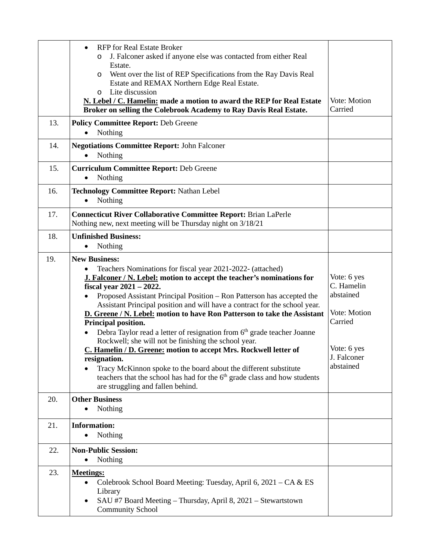| 13.<br>14. | <b>RFP</b> for Real Estate Broker<br>$\bullet$<br>J. Falconer asked if anyone else was contacted from either Real<br>O<br>Estate.<br>Went over the list of REP Specifications from the Ray Davis Real<br>$\circ$<br>Estate and REMAX Northern Edge Real Estate.<br>Lite discussion<br>$\circ$<br>N. Lebel / C. Hamelin: made a motion to award the REP for Real Estate<br>Broker on selling the Colebrook Academy to Ray Davis Real Estate.<br><b>Policy Committee Report: Deb Greene</b><br>Nothing<br><b>Negotiations Committee Report: John Falconer</b><br>Nothing<br>$\bullet$                                                                                                                                                                                                                                                                                                    | Vote: Motion<br>Carried                                                                                      |
|------------|----------------------------------------------------------------------------------------------------------------------------------------------------------------------------------------------------------------------------------------------------------------------------------------------------------------------------------------------------------------------------------------------------------------------------------------------------------------------------------------------------------------------------------------------------------------------------------------------------------------------------------------------------------------------------------------------------------------------------------------------------------------------------------------------------------------------------------------------------------------------------------------|--------------------------------------------------------------------------------------------------------------|
| 15.<br>16. | <b>Curriculum Committee Report: Deb Greene</b><br>Nothing<br>$\bullet$                                                                                                                                                                                                                                                                                                                                                                                                                                                                                                                                                                                                                                                                                                                                                                                                                 |                                                                                                              |
|            | <b>Technology Committee Report: Nathan Lebel</b><br>Nothing<br>$\bullet$                                                                                                                                                                                                                                                                                                                                                                                                                                                                                                                                                                                                                                                                                                                                                                                                               |                                                                                                              |
| 17.        | <b>Connecticut River Collaborative Committee Report: Brian LaPerle</b><br>Nothing new, next meeting will be Thursday night on 3/18/21                                                                                                                                                                                                                                                                                                                                                                                                                                                                                                                                                                                                                                                                                                                                                  |                                                                                                              |
| 18.        | <b>Unfinished Business:</b><br>Nothing<br>$\bullet$                                                                                                                                                                                                                                                                                                                                                                                                                                                                                                                                                                                                                                                                                                                                                                                                                                    |                                                                                                              |
| 19.        | <b>New Business:</b><br>Teachers Nominations for fiscal year 2021-2022- (attached)<br>J. Falconer / N. Lebel: motion to accept the teacher's nominations for<br>fiscal year $2021 - 2022$ .<br>Proposed Assistant Principal Position – Ron Patterson has accepted the<br>٠<br>Assistant Principal position and will have a contract for the school year.<br>D. Greene / N. Lebel: motion to have Ron Patterson to take the Assistant<br>Principal position.<br>Debra Taylor read a letter of resignation from 6 <sup>th</sup> grade teacher Joanne<br>Rockwell; she will not be finishing the school year.<br>C. Hamelin / D. Greene: motion to accept Mrs. Rockwell letter of<br>resignation.<br>Tracy McKinnon spoke to the board about the different substitute<br>teachers that the school has had for the $6th$ grade class and how students<br>are struggling and fallen behind. | Vote: 6 yes<br>C. Hamelin<br>abstained<br>Vote: Motion<br>Carried<br>Vote: 6 yes<br>J. Falconer<br>abstained |
| 20.        | <b>Other Business</b><br>Nothing<br>$\bullet$                                                                                                                                                                                                                                                                                                                                                                                                                                                                                                                                                                                                                                                                                                                                                                                                                                          |                                                                                                              |
| 21.        | <b>Information:</b><br>Nothing<br>٠                                                                                                                                                                                                                                                                                                                                                                                                                                                                                                                                                                                                                                                                                                                                                                                                                                                    |                                                                                                              |
| 22.        | <b>Non-Public Session:</b><br>Nothing<br>$\bullet$                                                                                                                                                                                                                                                                                                                                                                                                                                                                                                                                                                                                                                                                                                                                                                                                                                     |                                                                                                              |
| 23.        | <b>Meetings:</b><br>Colebrook School Board Meeting: Tuesday, April 6, 2021 – CA & ES<br>$\bullet$<br>Library<br>SAU #7 Board Meeting - Thursday, April 8, 2021 - Stewartstown<br>٠<br><b>Community School</b>                                                                                                                                                                                                                                                                                                                                                                                                                                                                                                                                                                                                                                                                          |                                                                                                              |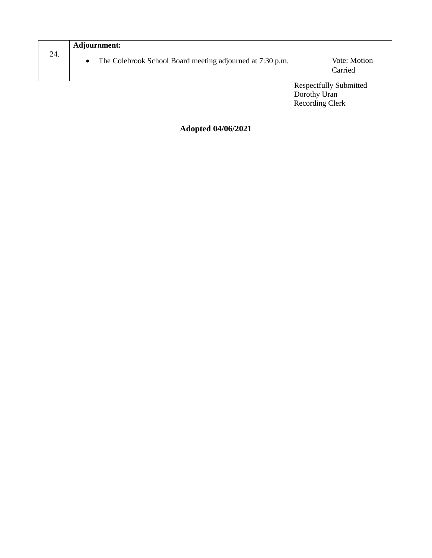|     | Adjournment:                                              |                               |
|-----|-----------------------------------------------------------|-------------------------------|
| 24. | The Colebrook School Board meeting adjourned at 7:30 p.m. | Vote: Motion<br>Carried       |
|     |                                                           | <b>Respectfully Submitted</b> |

Dorothy Uran Recording Clerk

# **Adopted 04/06/2021**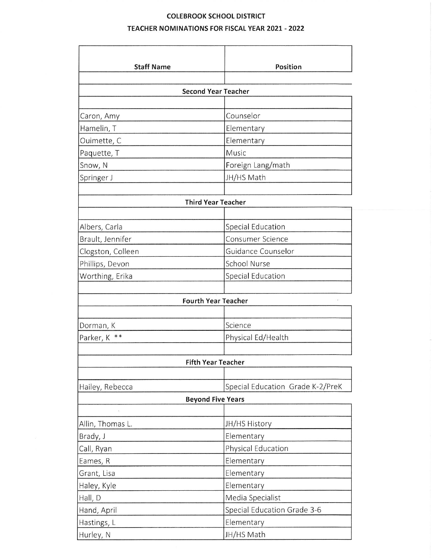## **COLEBROOK SCHOOL DISTRICT**

#### TEACHER NOMINATIONS FOR FISCAL YEAR 2021 - 2022

| <b>Staff Name</b> | Position                         |
|-------------------|----------------------------------|
|                   |                                  |
|                   | <b>Second Year Teacher</b>       |
|                   |                                  |
| Caron, Amy        | Counselor                        |
| Hamelin, T        | Elementary                       |
| Ouimette, C       | Elementary                       |
| Paquette, T       | Music                            |
| Snow, N           | Foreign Lang/math                |
| Springer J        | JH/HS Math                       |
|                   |                                  |
|                   | <b>Third Year Teacher</b>        |
|                   |                                  |
| Albers, Carla     | Special Education                |
| Brault, Jennifer  | Consumer Science                 |
| Clogston, Colleen | Guidance Counselor               |
| Phillips, Devon   | School Nurse                     |
| Worthing, Erika   | Special Education                |
|                   |                                  |
|                   | <b>Fourth Year Teacher</b>       |
|                   |                                  |
| Dorman, K         | Science                          |
| Parker, K **      | Physical Ed/Health               |
|                   |                                  |
|                   | <b>Fifth Year Teacher</b>        |
|                   |                                  |
| Hailey, Rebecca   | Special Education Grade K-2/PreK |
|                   | <b>Beyond Five Years</b>         |
|                   |                                  |
| Allin, Thomas L.  | JH/HS History                    |
| Brady, J          | Elementary                       |
| Call, Ryan        | Physical Education               |
| Eames, R          | Elementary                       |
| Grant, Lisa       | Elementary                       |
| Haley, Kyle       | Elementary                       |
| Hall, D           | Media Specialist                 |
| Hand, April       | Special Education Grade 3-6      |
| Hastings, L       | Elementary                       |
|                   |                                  |
| Hurley, N         | JH/HS Math                       |